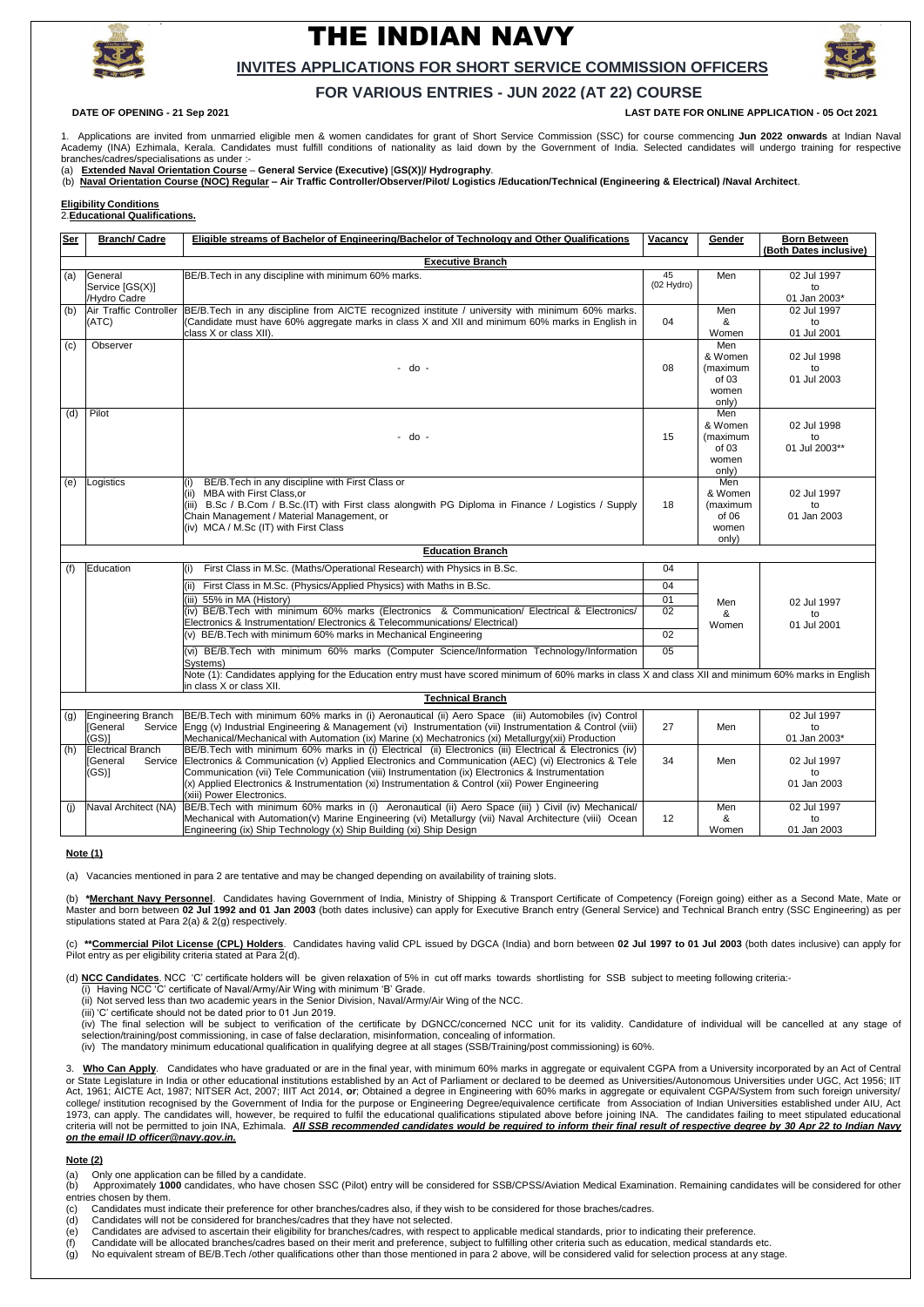.



# THE INDIAN NAVY



### **INVITES APPLICATIONS FOR SHORT SERVICE COMMISSION OFFICERS**

## **FOR VARIOUS ENTRIES - JUN 2022 (AT 22) COURSE**

**DATE OF OPENING - 21 Sep 2021 LAST DATE FOR ONLINE APPLICATION - 05 Oct 2021**

1. Applications are invited from unmarried eligible men & women candidates for grant of Short Service Commission (SSC) for course commencing **Jun 2022 onwards** at Indian Naval Academy (INA) Ezhimala, Kerala. Candidates must fulfill conditions of nationality as laid down by the Government of India. Selected candidates will undergo training for respective branches/cadres/specialisations as under :-

(a) **Extended Naval Orientation Course** – **General Service (Executive)** [**GS(X)**]**/ Hydrography**.

(b) **Naval Orientation Course (NOC) Regular – Air Traffic Controller/Observer/Pilot/ Logistics /Education/Technical (Engineering & Electrical) /Naval Architect**.

**Eligibility Conditions**

2.**Educational Qualifications.**

| <b>Ser</b>                       | <b>Branch/ Cadre</b>                   | Eligible streams of Bachelor of Engineering/Bachelor of Technology and Other Qualifications                                                                                                            | Vacancy            | Gender              | <b>Born Between</b>         |
|----------------------------------|----------------------------------------|--------------------------------------------------------------------------------------------------------------------------------------------------------------------------------------------------------|--------------------|---------------------|-----------------------------|
|                                  |                                        |                                                                                                                                                                                                        |                    |                     | (Both Dates inclusive)      |
| <b>Executive Branch</b>          |                                        |                                                                                                                                                                                                        |                    |                     |                             |
| (a)                              | General                                | BE/B. Tech in any discipline with minimum 60% marks.                                                                                                                                                   | 45<br>$(02$ Hydro) | Men                 | 02 Jul 1997                 |
|                                  | Service [GS(X)]                        |                                                                                                                                                                                                        |                    |                     | to                          |
| (b)                              | /Hydro Cadre<br>Air Traffic Controller | BE/B.Tech in any discipline from AICTE recognized institute / university with minimum 60% marks.                                                                                                       |                    | Men                 | 01 Jan 2003*<br>02 Jul 1997 |
|                                  | (ATC)                                  | (Candidate must have 60% aggregate marks in class X and XII and minimum 60% marks in English in                                                                                                        | 04                 | &                   | to                          |
|                                  |                                        | class X or class XII).                                                                                                                                                                                 |                    | Women               | 01 Jul 2001                 |
| (c)                              | Observer                               |                                                                                                                                                                                                        |                    | Men                 |                             |
|                                  |                                        |                                                                                                                                                                                                        |                    | & Women             | 02 Jul 1998                 |
|                                  |                                        | - do -                                                                                                                                                                                                 | 08                 | (maximum            | to                          |
|                                  |                                        |                                                                                                                                                                                                        |                    | of 03               | 01 Jul 2003                 |
|                                  |                                        |                                                                                                                                                                                                        |                    | women               |                             |
|                                  |                                        |                                                                                                                                                                                                        |                    | only)               |                             |
| (d)                              | Pilot                                  |                                                                                                                                                                                                        |                    | Men                 |                             |
|                                  |                                        | - do -                                                                                                                                                                                                 | 15                 | & Women<br>(maximum | 02 Jul 1998<br>to           |
|                                  |                                        |                                                                                                                                                                                                        |                    | of 03               | 01 Jul 2003**               |
|                                  |                                        |                                                                                                                                                                                                        |                    | women               |                             |
|                                  |                                        |                                                                                                                                                                                                        |                    | only)               |                             |
| (e)                              | Logistics                              | BE/B. Tech in any discipline with First Class or                                                                                                                                                       |                    | Men                 |                             |
|                                  |                                        | (ii) MBA with First Class, or                                                                                                                                                                          |                    | & Women             | 02 Jul 1997                 |
|                                  |                                        | (iii) B.Sc / B.Com / B.Sc. (IT) with First class alongwith PG Diploma in Finance / Logistics / Supply                                                                                                  | 18                 | (maximum            | to                          |
|                                  |                                        | Chain Management / Material Management, or                                                                                                                                                             |                    | of 06               | 01 Jan 2003                 |
|                                  |                                        | (iv) MCA / M.Sc (IT) with First Class                                                                                                                                                                  |                    | women               |                             |
| only)<br><b>Education Branch</b> |                                        |                                                                                                                                                                                                        |                    |                     |                             |
|                                  |                                        |                                                                                                                                                                                                        |                    |                     |                             |
| (f)                              | Education                              | First Class in M.Sc. (Maths/Operational Research) with Physics in B.Sc.                                                                                                                                | 04                 |                     |                             |
|                                  |                                        | First Class in M.Sc. (Physics/Applied Physics) with Maths in B.Sc.                                                                                                                                     | 04                 |                     |                             |
|                                  |                                        | (iii) 55% in MA (History)                                                                                                                                                                              | 01                 | Men                 | 02 Jul 1997                 |
|                                  |                                        | (iv) BE/B.Tech with minimum 60% marks (Electronics & Communication/ Electrical & Electronics/                                                                                                          | 02                 | &                   | to                          |
|                                  |                                        | Electronics & Instrumentation/ Electronics & Telecommunications/ Electrical)                                                                                                                           | $\overline{02}$    | Women               | 01 Jul 2001                 |
|                                  |                                        | (v) BE/B. Tech with minimum 60% marks in Mechanical Engineering                                                                                                                                        |                    |                     |                             |
|                                  |                                        | (vi) BE/B.Tech with minimum 60% marks (Computer Science/Information Technology/Information<br>Systems)                                                                                                 | 05                 |                     |                             |
|                                  |                                        | Note (1): Candidates applying for the Education entry must have scored minimum of 60% marks in class X and class XII and minimum 60% marks in English<br>in class X or class XII.                      |                    |                     |                             |
| <b>Technical Branch</b>          |                                        |                                                                                                                                                                                                        |                    |                     |                             |
| (g)                              | Engineering Branch                     | BE/B.Tech with minimum 60% marks in (i) Aeronautical (ii) Aero Space (iii) Automobiles (iv) Control                                                                                                    |                    |                     | 02 Jul 1997                 |
|                                  |                                        | [General Service Engg (v) Industrial Engineering & Management (vi) Instrumentation (vii) Instrumentation & Control (viii)                                                                              | 27                 | Men                 | to                          |
|                                  | (GS)                                   | Mechanical/Mechanical with Automation (ix) Marine (x) Mechatronics (xi) Metallurgy(xii) Production                                                                                                     |                    |                     | 01 Jan 2003*                |
| (h)                              | <b>Electrical Branch</b>               | BE/B.Tech with minimum 60% marks in (i) Electrical (ii) Electronics (iii) Electrical & Electronics (iv)                                                                                                |                    |                     |                             |
|                                  | Service<br>[General                    | Electronics & Communication (v) Applied Electronics and Communication (AEC) (vi) Electronics & Tele                                                                                                    | 34                 | Men                 | 02 Jul 1997                 |
|                                  | (GS)                                   | Communication (vii) Tele Communication (viii) Instrumentation (ix) Electronics & Instrumentation<br>$(x)$ Applied Electronics & Instrumentation (xi) Instrumentation & Control (xii) Power Engineering |                    |                     | to<br>01 Jan 2003           |
|                                  |                                        | (xiii) Power Electronics.                                                                                                                                                                              |                    |                     |                             |
| (i)                              | Naval Architect (NA)                   | BE/B.Tech with minimum 60% marks in (i) Aeronautical (ii) Aero Space (iii) ) Civil (iv) Mechanical/                                                                                                    |                    | Men                 | 02 Jul 1997                 |
|                                  |                                        | Mechanical with Automation(v) Marine Engineering (vi) Metallurgy (vii) Naval Architecture (viii) Ocean                                                                                                 | 12                 | &                   | to                          |
|                                  |                                        | Engineering (ix) Ship Technology (x) Ship Building (xi) Ship Design                                                                                                                                    |                    | Women               | 01 Jan 2003                 |

3. Who Can Apply. Candidates who have graduated or are in the final year, with minimum 60% marks in aggregate or equivalent CGPA from a University incorporated by an Act of Central or State Legislature in India or other educational institutions established by an Act of Parliament or declared to be deemed as Universities/Autonomous Universities under UGC, Act 1956; IIT Act, 1961; AICTE Act, 1987; NITSER Act, 2007; IIIT Act 2014, or; Obtained a degree in Engineering with 60% marks in aggregate or equivalent CGPA/System from such foreign university/ college/ institution recognised by the Government of India for the purpose or Engineering Degree/equivalence certificate from Association of Indian Universities established under AIU, Act 1973, can apply. The candidates will, however, be required to fulfil the educational qualifications stipulated above before joining INA. The candidates failing to meet stipulated educational criteria will not be permitted to join INA, Ezhimala. *All SSB recommended candidates would be required to inform their final result of respective degree by 30 Apr 22 to Indian Navy on the email ID officer@navy.gov.in.*

(b) Approximately 1000 candidates, who have chosen SSC (Pilot) entry will be considered for SSB/CPSS/Aviation Medical Examination. Remaining candidates will be considered for other entries chosen by them.

**Note (1)**

(a) Vacancies mentioned in para 2 are tentative and may be changed depending on availability of training slots.

(b) **\*Merchant Navy Personnel**. Candidates having Government of India, Ministry of Shipping & Transport Certificate of Competency (Foreign going) either as a Second Mate, Mate or Master and born between **02 Jul 1992 and 01 Jan 2003** (both dates inclusive) can apply for Executive Branch entry (General Service) and Technical Branch entry (SSC Engineering) as per stipulations stated at Para 2(a) & 2(g) respectively.

(c) **\*\*Commercial Pilot License (CPL) Holders**. Candidates having valid CPL issued by DGCA (India) and born between **02 Jul 1997 to 01 Jul 2003** (both dates inclusive) can apply for Pilot entry as per eligibility criteria stated at Para 2(d).

(d) **NCC Candidates**. NCC 'C' certificate holders will be given relaxation of 5% in cut off marks towards shortlisting for SSB subject to meeting following criteria:-

(i) Having NCC 'C' certificate of Naval/Army/Air Wing with minimum 'B' Grade.

(ii) Not served less than two academic years in the Senior Division, Naval/Army/Air Wing of the NCC.

(iii) 'C' certificate should not be dated prior to 01 Jun 2019.

(iv) The final selection will be subject to verification of the certificate by DGNCC/concerned NCC unit for its validity. Candidature of individual will be cancelled at any stage of selection/training/post commissioning, in case of false declaration, misinformation, concealing of information.

(iv) The mandatory minimum educational qualification in qualifying degree at all stages (SSB/Training/post commissioning) is 60%.

#### **Note (2)**

(a) Only one application can be filled by a candidate.

(c) Candidates must indicate their preference for other branches/cadres also, if they wish to be considered for those braches/cadres.

- (d) Candidates will not be considered for branches/cadres that they have not selected.
- (e) Candidates are advised to ascertain their eligibility for branches/cadres, with respect to applicable medical standards, prior to indicating their preference.
- (f) Candidate will be allocated branches/cadres based on their merit and preference, subject to fulfilling other criteria such as education, medical standards etc.
- (g) No equivalent stream of BE/B.Tech /other qualifications other than those mentioned in para 2 above, will be considered valid for selection process at any stage.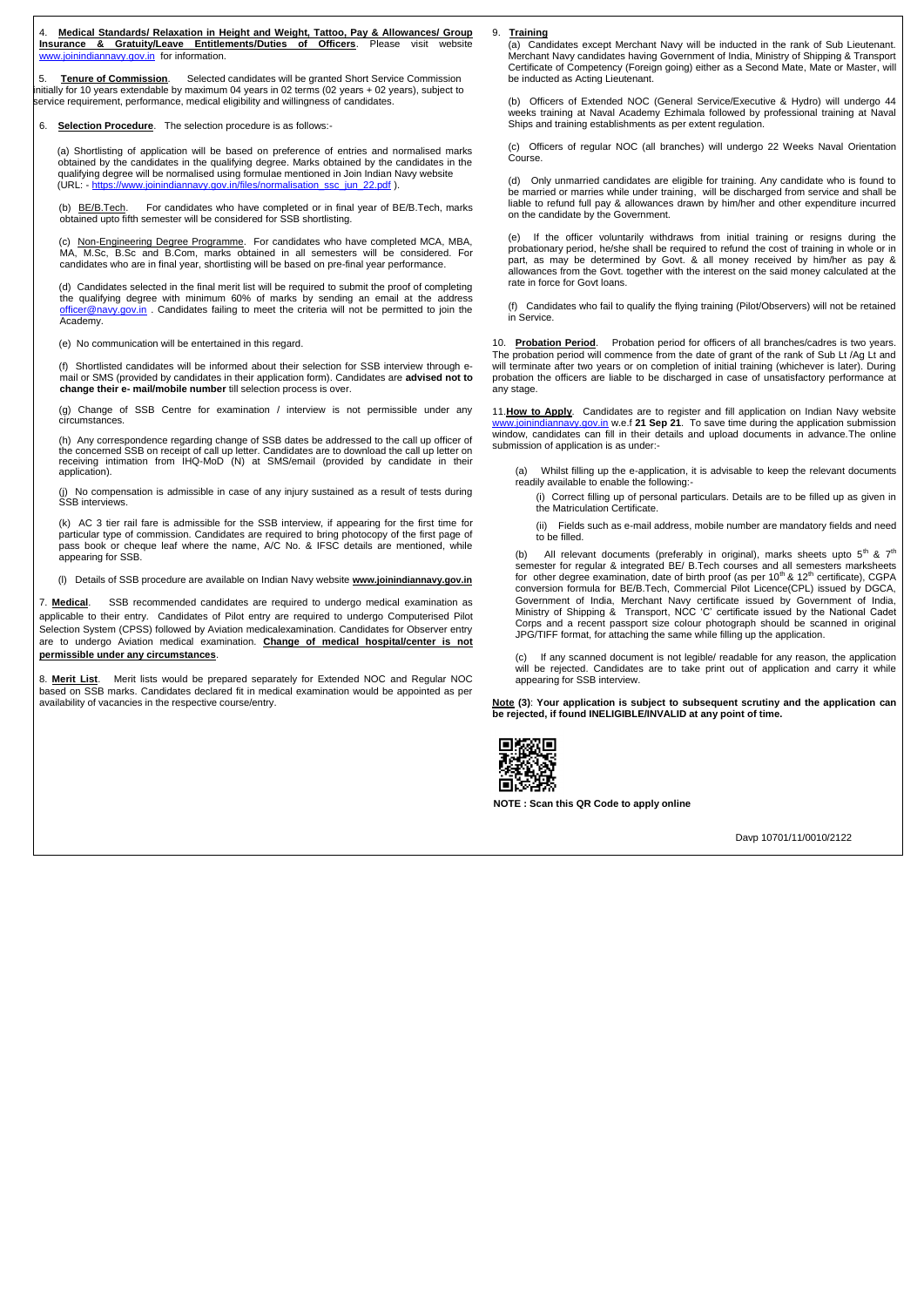4. **Medical Standards/ Relaxation in Height and Weight, Tattoo, Pay & Allowances/ Group Insurance & Gratuity/Leave Entitlements/Duties of Officers**. Please visit website [www.joinindiannavy.gov.in](http://www.joinindiannavy.gov.in/) for information.

**Tenure of Commission**. Selected candidates will be granted Short Service Commission initially for 10 years extendable by maximum 04 years in 02 terms (02 years + 02 years), subject to service requirement, performance, medical eligibility and willingness of candidates.

6. **Selection Procedure**. The selection procedure is as follows:-

(a) Shortlisting of application will be based on preference of entries and normalised marks obtained by the candidates in the qualifying degree. Marks obtained by the candidates in the qualifying degree will be normalised using formulae mentioned in Join Indian Navy website (URL: - [https://www.joinindiannavy.gov.in/files/normalisation\\_ssc\\_jun\\_22.pdf](https://www.joinindiannavy.gov.in/files/normalisation_ssc_jun_22.pdf) ).

(b) BE/B.Tech. For candidates who have completed or in final year of BE/B.Tech, marks obtained upto fifth semester will be considered for SSB shortlisting.

(c) Non-Engineering Degree Programme. For candidates who have completed MCA, MBA, MA, M.Sc, B.Sc and B.Com, marks obtained in all semesters will be considered. For candidates who are in final year, shortlisting will be based on pre-final year performance.

(d) Candidates selected in the final merit list will be required to submit the proof of completing the qualifying degree with minimum 60% of marks by sending an email at the address [officer@navy.gov.in](mailto:officer@navy.gov.in) . Candidates failing to meet the criteria will not be permitted to join the Academy.

(e) No communication will be entertained in this regard.

(f) Shortlisted candidates will be informed about their selection for SSB interview through email or SMS (provided by candidates in their application form). Candidates are **advised not to change their e- mail/mobile number** till selection process is over.

(g) Change of SSB Centre for examination / interview is not permissible under any circumstances.

(h) Any correspondence regarding change of SSB dates be addressed to the call up officer of the concerned SSB on receipt of call up letter. Candidates are to download the call up letter on receiving intimation from IHQ-MoD (N) at SMS/email (provided by candidate in their application).

(j) No compensation is admissible in case of any injury sustained as a result of tests during SSB interviews.

(k) AC 3 tier rail fare is admissible for the SSB interview, if appearing for the first time for particular type of commission. Candidates are required to bring photocopy of the first page of pass book or cheque leaf where the name, A/C No. & IFSC details are mentioned, while appearing for SSB.

(l) Details of SSB procedure are available on Indian Navy website **[www.joinindiannavy.](http://www.joinindiannavy/)gov.in**

7. **Medical**. SSB recommended candidates are required to undergo medical examination as applicable to their entry. Candidates of Pilot entry are required to undergo Computerised Pilot Selection System (CPSS) followed by Aviation medicalexamination. Candidates for Observer entry are to undergo Aviation medical examination. **Change of medical hospital/center is not permissible under any circumstances**.

All relevant documents (preferably in original), marks sheets upto  $5<sup>th</sup>$  &  $7<sup>th</sup>$ semester for regular & integrated BE/ B.Tech courses and all semesters marksheets for other degree examination, date of birth proof (as per  $10^{th}$  &  $12^{th}$  certificate), CGPA conversion formula for BE/B.Tech, Commercial Pilot Licence(CPL) issued by DGCA, Government of India, Merchant Navy certificate issued by Government of India, Ministry of Shipping & Transport, NCC 'C' certificate issued by the National Cadet Corps and a recent passport size colour photograph should be scanned in original JPG/TIFF format, for attaching the same while filling up the application.

8. **Merit List**. Merit lists would be prepared separately for Extended NOC and Regular NOC based on SSB marks. Candidates declared fit in medical examination would be appointed as per availability of vacancies in the respective course/entry.

9. **Training** (a) Candidates except Merchant Navy will be inducted in the rank of Sub Lieutenant. Merchant Navy candidates having Government of India, Ministry of Shipping & Transport Certificate of Competency (Foreign going) either as a Second Mate, Mate or Master, will be inducted as Acting Lieutenant.

(b) Officers of Extended NOC (General Service/Executive & Hydro) will undergo 44 weeks training at Naval Academy Ezhimala followed by professional training at Naval Ships and training establishments as per extent regulation.

(c) Officers of regular NOC (all branches) will undergo 22 Weeks Naval Orientation Course.

(d) Only unmarried candidates are eligible for training. Any candidate who is found to be married or marries while under training, will be discharged from service and shall be liable to refund full pay & allowances drawn by him/her and other expenditure incurred on the candidate by the Government.

(e) If the officer voluntarily withdraws from initial training or resigns during the probationary period, he/she shall be required to refund the cost of training in whole or in part, as may be determined by Govt. & all money received by him/her as pay & allowances from the Govt. together with the interest on the said money calculated at the rate in force for Govt loans.

(f) Candidates who fail to qualify the flying training (Pilot/Observers) will not be retained in Service.

10. **Probation Period**. Probation period for officers of all branches/cadres is two years. The probation period will commence from the date of grant of the rank of Sub Lt /Ag Lt and will terminate after two years or on completion of initial training (whichever is later). During probation the officers are liable to be discharged in case of unsatisfactory performance at any stage.

11.**How to Apply**. Candidates are to register and fill application on Indian Navy website [www.joinindiannavy.gov.in](http://www.joinindiannavy.gov.in/) w.e.f **21 Sep 21**. To save time during the application submission window, candidates can fill in their details and upload documents in advance.The online submission of application is as under:-

(a) Whilst filling up the e-application, it is advisable to keep the relevant documents readily available to enable the following:-

(i) Correct filling up of personal particulars. Details are to be filled up as given in the Matriculation Certificate.

(ii) Fields such as e-mail address, mobile number are mandatory fields and need to be filled.

(c) If any scanned document is not legible/ readable for any reason, the application will be rejected. Candidates are to take print out of application and carry it while appearing for SSB interview.

**Note (3)**: **Your application is subject to subsequent scrutiny and the application can be rejected, if found INELIGIBLE/INVALID at any point of time.**



**NOTE : Scan this QR Code to apply online**

Davp 10701/11/0010/2122